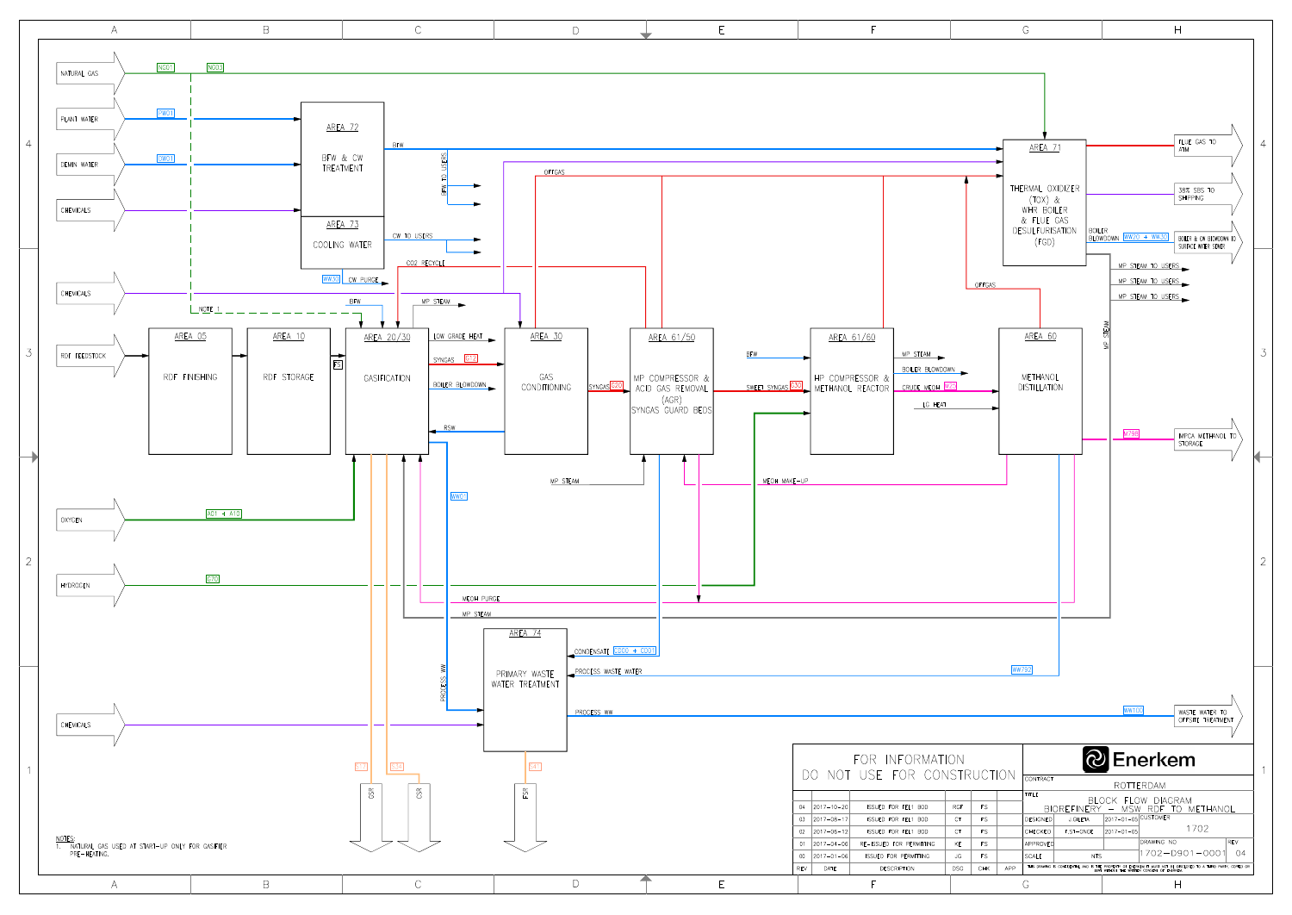